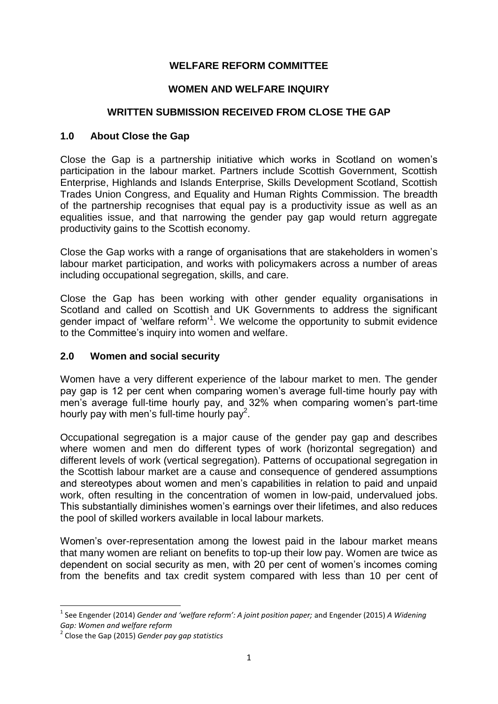## **WELFARE REFORM COMMITTEE**

#### **WOMEN AND WELFARE INQUIRY**

#### **WRITTEN SUBMISSION RECEIVED FROM CLOSE THE GAP**

#### **1.0 About Close the Gap**

Close the Gap is a partnership initiative which works in Scotland on women's participation in the labour market. Partners include Scottish Government, Scottish Enterprise, Highlands and Islands Enterprise, Skills Development Scotland, Scottish Trades Union Congress, and Equality and Human Rights Commission. The breadth of the partnership recognises that equal pay is a productivity issue as well as an equalities issue, and that narrowing the gender pay gap would return aggregate productivity gains to the Scottish economy.

Close the Gap works with a range of organisations that are stakeholders in women's labour market participation, and works with policymakers across a number of areas including occupational segregation, skills, and care.

Close the Gap has been working with other gender equality organisations in Scotland and called on Scottish and UK Governments to address the significant gender impact of 'welfare reform'<sup>1</sup>. We welcome the opportunity to submit evidence to the Committee's inquiry into women and welfare.

#### **2.0 Women and social security**

Women have a very different experience of the labour market to men. The gender pay gap is 12 per cent when comparing women's average full-time hourly pay with men's average full-time hourly pay, and 32% when comparing women's part-time hourly pay with men's full-time hourly pay<sup>2</sup>.

Occupational segregation is a major cause of the gender pay gap and describes where women and men do different types of work (horizontal segregation) and different levels of work (vertical segregation). Patterns of occupational segregation in the Scottish labour market are a cause and consequence of gendered assumptions and stereotypes about women and men's capabilities in relation to paid and unpaid work, often resulting in the concentration of women in low-paid, undervalued jobs. This substantially diminishes women's earnings over their lifetimes, and also reduces the pool of skilled workers available in local labour markets.

Women's over-representation among the lowest paid in the labour market means that many women are reliant on benefits to top-up their low pay. Women are twice as dependent on social security as men, with 20 per cent of women's incomes coming from the benefits and tax credit system compared with less than 10 per cent of

**.** 

<sup>1</sup> See Engender (2014) *Gender and 'welfare reform': A joint position paper;* and Engender (2015) *A Widening Gap: Women and welfare reform*

<sup>2</sup> Close the Gap (2015) *Gender pay gap statistics*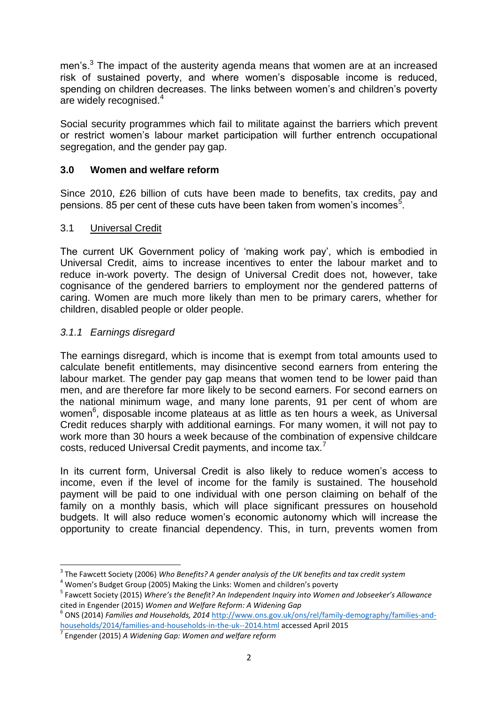men's.<sup>3</sup> The impact of the austerity agenda means that women are at an increased risk of sustained poverty, and where women's disposable income is reduced, spending on children decreases. The links between women's and children's poverty are widely recognised.<sup>4</sup>

Social security programmes which fail to militate against the barriers which prevent or restrict women's labour market participation will further entrench occupational segregation, and the gender pay gap.

## **3.0 Women and welfare reform**

Since 2010, £26 billion of cuts have been made to benefits, tax credits, pay and pensions. 85 per cent of these cuts have been taken from women's incomes<sup>5</sup>.

### 3.1 Universal Credit

The current UK Government policy of 'making work pay', which is embodied in Universal Credit, aims to increase incentives to enter the labour market and to reduce in-work poverty. The design of Universal Credit does not, however, take cognisance of the gendered barriers to employment nor the gendered patterns of caring. Women are much more likely than men to be primary carers, whether for children, disabled people or older people.

## *3.1.1 Earnings disregard*

 $\overline{\phantom{a}}$ 

The earnings disregard, which is income that is exempt from total amounts used to calculate benefit entitlements, may disincentive second earners from entering the labour market. The gender pay gap means that women tend to be lower paid than men, and are therefore far more likely to be second earners. For second earners on the national minimum wage, and many lone parents, 91 per cent of whom are women<sup>6</sup>, disposable income plateaus at as little as ten hours a week, as Universal Credit reduces sharply with additional earnings. For many women, it will not pay to work more than 30 hours a week because of the combination of expensive childcare costs, reduced Universal Credit payments, and income tax.<sup>7</sup>

In its current form, Universal Credit is also likely to reduce women's access to income, even if the level of income for the family is sustained. The household payment will be paid to one individual with one person claiming on behalf of the family on a monthly basis, which will place significant pressures on household budgets. It will also reduce women's economic autonomy which will increase the opportunity to create financial dependency. This, in turn, prevents women from

<sup>3</sup> The Fawcett Society (2006) *Who Benefits? A gender analysis of the UK benefits and tax credit system*

<sup>4</sup> Women's Budget Group (2005) Making the Links: Women and children's poverty

<sup>5</sup> Fawcett Society (2015) *Where's the Benefit? An Independent Inquiry into Women and Jobseeker's Allowance*

cited in Engender (2015) *Women and Welfare Reform: A Widening Gap*<br><sup>6</sup> ONS (2014) *Families and Households, 2014* <u>http://www.ons.gov.uk/ons/rel/family-demography/families-and-</u> [households/2014/families-and-households-in-the-uk--2014.html](http://www.ons.gov.uk/ons/rel/family-demography/families-and-households/2014/families-and-households-in-the-uk--2014.html) accessed April 2015

<sup>7</sup> Engender (2015) *A Widening Gap: Women and welfare reform*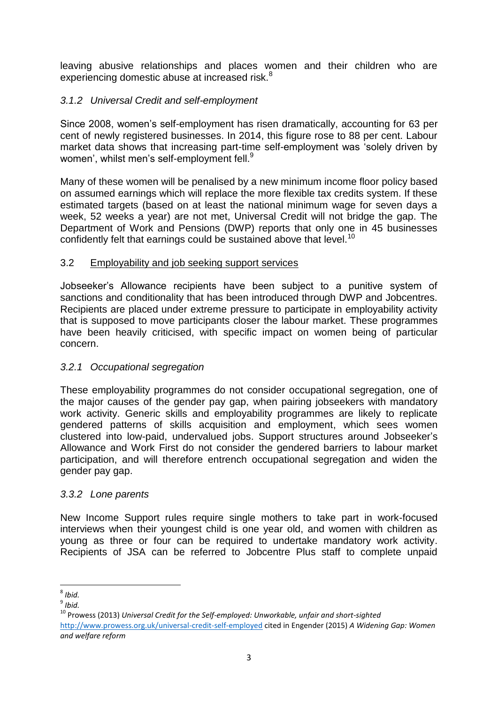leaving abusive relationships and places women and their children who are experiencing domestic abuse at increased risk.<sup>8</sup>

# *3.1.2 Universal Credit and self-employment*

Since 2008, women's self-employment has risen dramatically, accounting for 63 per cent of newly registered businesses. In 2014, this figure rose to 88 per cent. Labour market data shows that increasing part-time self-employment was 'solely driven by women', whilst men's self-employment fell.<sup>9</sup>

Many of these women will be penalised by a new minimum income floor policy based on assumed earnings which will replace the more flexible tax credits system. If these estimated targets (based on at least the national minimum wage for seven days a week, 52 weeks a year) are not met, Universal Credit will not bridge the gap. The Department of Work and Pensions (DWP) reports that only one in 45 businesses confidently felt that earnings could be sustained above that level.<sup>10</sup>

## 3.2 Employability and job seeking support services

Jobseeker's Allowance recipients have been subject to a punitive system of sanctions and conditionality that has been introduced through DWP and Jobcentres. Recipients are placed under extreme pressure to participate in employability activity that is supposed to move participants closer the labour market. These programmes have been heavily criticised, with specific impact on women being of particular concern.

# *3.2.1 Occupational segregation*

These employability programmes do not consider occupational segregation, one of the major causes of the gender pay gap, when pairing jobseekers with mandatory work activity. Generic skills and employability programmes are likely to replicate gendered patterns of skills acquisition and employment, which sees women clustered into low-paid, undervalued jobs. Support structures around Jobseeker's Allowance and Work First do not consider the gendered barriers to labour market participation, and will therefore entrench occupational segregation and widen the gender pay gap.

### *3.3.2 Lone parents*

New Income Support rules require single mothers to take part in work-focused interviews when their youngest child is one year old, and women with children as young as three or four can be required to undertake mandatory work activity. Recipients of JSA can be referred to Jobcentre Plus staff to complete unpaid

 8 *Ibid.*

<sup>9</sup> *Ibid.*

<sup>10</sup> Prowess (2013) *Universal Credit for the Self-employed: Unworkable, unfair and short-sighted* <http://www.prowess.org.uk/universal-credit-self-employed> cited in Engender (2015) *A Widening Gap: Women and welfare reform*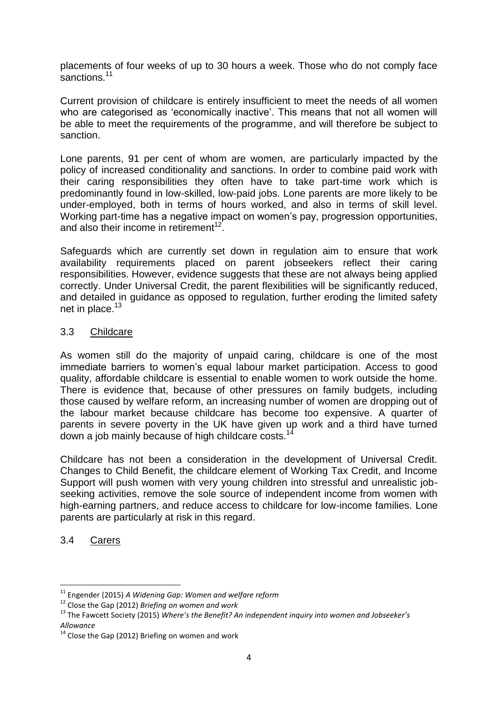placements of four weeks of up to 30 hours a week. Those who do not comply face sanctions.<sup>11</sup>

Current provision of childcare is entirely insufficient to meet the needs of all women who are categorised as 'economically inactive'. This means that not all women will be able to meet the requirements of the programme, and will therefore be subject to sanction.

Lone parents, 91 per cent of whom are women, are particularly impacted by the policy of increased conditionality and sanctions. In order to combine paid work with their caring responsibilities they often have to take part-time work which is predominantly found in low-skilled, low-paid jobs. Lone parents are more likely to be under-employed, both in terms of hours worked, and also in terms of skill level. Working part-time has a negative impact on women's pay, progression opportunities, and also their income in retirement $12$ .

Safeguards which are currently set down in regulation aim to ensure that work availability requirements placed on parent jobseekers reflect their caring responsibilities. However, evidence suggests that these are not always being applied correctly. Under Universal Credit, the parent flexibilities will be significantly reduced, and detailed in guidance as opposed to regulation, further eroding the limited safety net in place. $13$ 

### 3.3 Childcare

As women still do the majority of unpaid caring, childcare is one of the most immediate barriers to women's equal labour market participation. Access to good quality, affordable childcare is essential to enable women to work outside the home. There is evidence that, because of other pressures on family budgets, including those caused by welfare reform, an increasing number of women are dropping out of the labour market because childcare has become too expensive. A quarter of parents in severe poverty in the UK have given up work and a third have turned down a job mainly because of high childcare costs.<sup>14</sup>

Childcare has not been a consideration in the development of Universal Credit. Changes to Child Benefit, the childcare element of Working Tax Credit, and Income Support will push women with very young children into stressful and unrealistic jobseeking activities, remove the sole source of independent income from women with high-earning partners, and reduce access to childcare for low-income families. Lone parents are particularly at risk in this regard.

# 3.4 Carers

**.** 

<sup>11</sup> Engender (2015) *A Widening Gap: Women and welfare reform*

<sup>12</sup> Close the Gap (2012) *Briefing on women and work* 

<sup>13</sup> The Fawcett Society (2015) *Where's the Benefit? An independent inquiry into women and Jobseeker's Allowance* 

 $14$  Close the Gap (2012) Briefing on women and work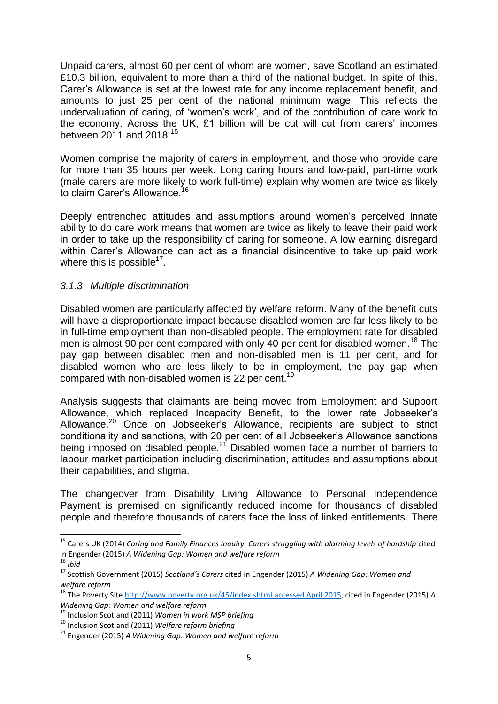Unpaid carers, almost 60 per cent of whom are women, save Scotland an estimated £10.3 billion, equivalent to more than a third of the national budget. In spite of this. Carer's Allowance is set at the lowest rate for any income replacement benefit, and amounts to just 25 per cent of the national minimum wage. This reflects the undervaluation of caring, of 'women's work', and of the contribution of care work to the economy. Across the UK, £1 billion will be cut will cut from carers' incomes between 2011 and 2018.<sup>15</sup>

Women comprise the majority of carers in employment, and those who provide care for more than 35 hours per week. Long caring hours and low-paid, part-time work (male carers are more likely to work full-time) explain why women are twice as likely to elem Carer's Allowance  $16$ to claim Carer's Allowance.<sup>1</sup>

Deeply entrenched attitudes and assumptions around women's perceived innate ability to do care work means that women are twice as likely to leave their paid work in order to take up the responsibility of caring for someone. A low earning disregard within Carer's Allowance can act as a financial disincentive to take up paid work where this is possible $17$ .

### *3.1.3 Multiple discrimination*

Disabled women are particularly affected by welfare reform. Many of the benefit cuts will have a disproportionate impact because disabled women are far less likely to be in full-time employment than non-disabled people. The employment rate for disabled men is almost 90 per cent compared with only 40 per cent for disabled women.<sup>18</sup> The pay gap between disabled men and non-disabled men is 11 per cent, and for disabled women who are less likely to be in employment, the pay gap when compared with non-disabled women is 22 per cent.<sup>19</sup>

Analysis suggests that claimants are being moved from Employment and Support Allowance, which replaced Incapacity Benefit, to the lower rate Jobseeker's Allowance. <sup>20</sup> Once on Jobseeker's Allowance, recipients are subject to strict conditionality and sanctions, with 20 per cent of all Jobseeker's Allowance sanctions being imposed on disabled people.<sup>21</sup> Disabled women face a number of barriers to labour market participation including discrimination, attitudes and assumptions about their capabilities, and stigma.

The changeover from Disability Living Allowance to Personal Independence Payment is premised on significantly reduced income for thousands of disabled people and therefore thousands of carers face the loss of linked entitlements. There

**.** 

<sup>&</sup>lt;sup>15</sup> Carers UK (2014) *Caring and Family Finances Inquiry: Carers struggling with alarming levels of hardship cited* in Engender (2015) *A Widening Gap: Women and welfare reform*

 $16$  *Ibid* 

<sup>17</sup> Scottish Government (2015) *Scotland's Carers* cited in Engender (2015) *A Widening Gap: Women and welfare reform*

<sup>18</sup> The Poverty Site [http://www.poverty.org.uk/45/index.shtml](http://www.poverty.org.uk/45/index.shtml%20accessed%20April%202015) accessed April 2015, cited in Engender (2015) *A Widening Gap: Women and welfare reform*

<sup>19</sup> Inclusion Scotland (2011) *Women in work MSP briefing*

<sup>20</sup> Inclusion Scotland (2011) *Welfare reform briefing*

<sup>21</sup> Engender (2015) *A Widening Gap: Women and welfare reform*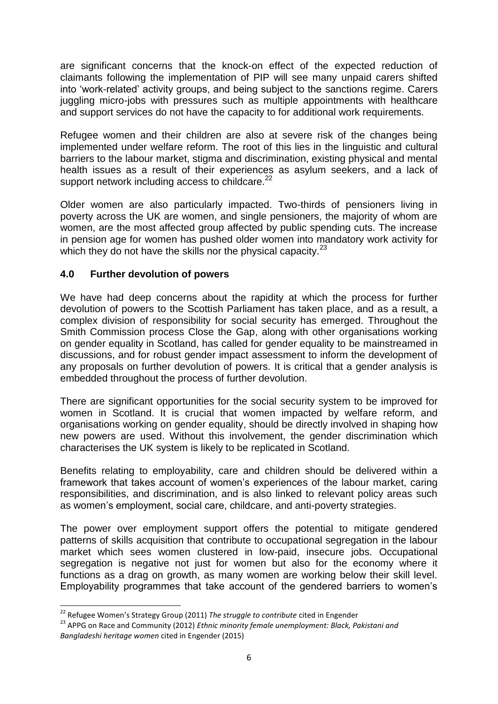are significant concerns that the knock-on effect of the expected reduction of claimants following the implementation of PIP will see many unpaid carers shifted into 'work-related' activity groups, and being subject to the sanctions regime. Carers juggling micro-jobs with pressures such as multiple appointments with healthcare and support services do not have the capacity to for additional work requirements.

Refugee women and their children are also at severe risk of the changes being implemented under welfare reform. The root of this lies in the linguistic and cultural barriers to the labour market, stigma and discrimination, existing physical and mental health issues as a result of their experiences as asylum seekers, and a lack of support network including access to childcare.<sup>22</sup>

Older women are also particularly impacted. Two-thirds of pensioners living in poverty across the UK are women, and single pensioners, the majority of whom are women, are the most affected group affected by public spending cuts. The increase in pension age for women has pushed older women into mandatory work activity for which they do not have the skills nor the physical capacity. $^{23}$ 

# **4.0 Further devolution of powers**

We have had deep concerns about the rapidity at which the process for further devolution of powers to the Scottish Parliament has taken place, and as a result, a complex division of responsibility for social security has emerged. Throughout the Smith Commission process Close the Gap, along with other organisations working on gender equality in Scotland, has called for gender equality to be mainstreamed in discussions, and for robust gender impact assessment to inform the development of any proposals on further devolution of powers. It is critical that a gender analysis is embedded throughout the process of further devolution.

There are significant opportunities for the social security system to be improved for women in Scotland. It is crucial that women impacted by welfare reform, and organisations working on gender equality, should be directly involved in shaping how new powers are used. Without this involvement, the gender discrimination which characterises the UK system is likely to be replicated in Scotland.

Benefits relating to employability, care and children should be delivered within a framework that takes account of women's experiences of the labour market, caring responsibilities, and discrimination, and is also linked to relevant policy areas such as women's employment, social care, childcare, and anti-poverty strategies.

The power over employment support offers the potential to mitigate gendered patterns of skills acquisition that contribute to occupational segregation in the labour market which sees women clustered in low-paid, insecure jobs. Occupational segregation is negative not just for women but also for the economy where it functions as a drag on growth, as many women are working below their skill level. Employability programmes that take account of the gendered barriers to women's

**<sup>.</sup>** <sup>22</sup> Refugee Women's Strategy Group (2011) *The struggle to contribute* cited in Engender

<sup>23</sup> APPG on Race and Community (2012) *Ethnic minority female unemployment: Black, Pakistani and Bangladeshi heritage women* cited in Engender (2015)